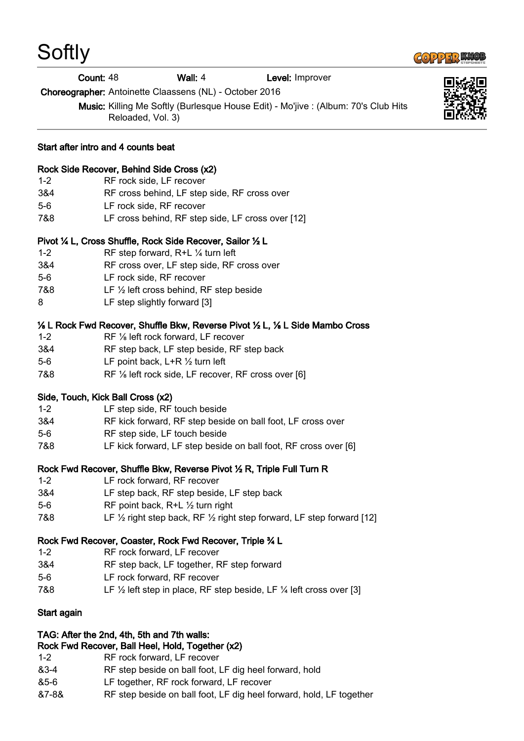|         | Count: 48                                   | Wall: 4                                                                                                 | Level: Improver                                                                                          |  |
|---------|---------------------------------------------|---------------------------------------------------------------------------------------------------------|----------------------------------------------------------------------------------------------------------|--|
|         |                                             | Choreographer: Antoinette Claassens (NL) - October 2016                                                 |                                                                                                          |  |
|         |                                             | Music: Killing Me Softly (Burlesque House Edit) - Mo'jive : (Album: 70's Club Hits<br>Reloaded, Vol. 3) |                                                                                                          |  |
|         | Start after intro and 4 counts beat         |                                                                                                         |                                                                                                          |  |
|         | Rock Side Recover, Behind Side Cross (x2)   |                                                                                                         |                                                                                                          |  |
| $1 - 2$ | RF rock side, LF recover                    |                                                                                                         |                                                                                                          |  |
| 3&4     |                                             | RF cross behind, LF step side, RF cross over                                                            |                                                                                                          |  |
| $5-6$   | LF rock side, RF recover                    |                                                                                                         |                                                                                                          |  |
| 7&8     |                                             | LF cross behind, RF step side, LF cross over [12]                                                       |                                                                                                          |  |
|         |                                             | Pivot 1/4 L, Cross Shuffle, Rock Side Recover, Sailor 1/2 L                                             |                                                                                                          |  |
| $1 - 2$ | RF step forward, R+L 1/4 turn left          |                                                                                                         |                                                                                                          |  |
| 3&4     |                                             | RF cross over, LF step side, RF cross over                                                              |                                                                                                          |  |
| $5-6$   | LF rock side, RF recover                    |                                                                                                         |                                                                                                          |  |
| 7&8     |                                             | LF 1/2 left cross behind, RF step beside                                                                |                                                                                                          |  |
| 8       | LF step slightly forward [3]                |                                                                                                         |                                                                                                          |  |
|         |                                             |                                                                                                         | 1/ <sub>8</sub> L Rock Fwd Recover, Shuffle Bkw, Reverse Pivot 1/2 L, 1/ <sub>8</sub> L Side Mambo Cross |  |
| $1 - 2$ |                                             | RF 1/8 left rock forward, LF recover                                                                    |                                                                                                          |  |
| 3&4     |                                             | RF step back, LF step beside, RF step back                                                              |                                                                                                          |  |
| $5-6$   | LF point back, $L+R \frac{1}{2}$ turn left  |                                                                                                         |                                                                                                          |  |
| 7&8     |                                             | RF 1/8 left rock side, LF recover, RF cross over [6]                                                    |                                                                                                          |  |
|         | Side, Touch, Kick Ball Cross (x2)           |                                                                                                         |                                                                                                          |  |
| $1 - 2$ | LF step side, RF touch beside               |                                                                                                         |                                                                                                          |  |
| 3&4     |                                             |                                                                                                         | RF kick forward, RF step beside on ball foot, LF cross over                                              |  |
| $5-6$   | RF step side, LF touch beside               |                                                                                                         |                                                                                                          |  |
| 7&8     |                                             |                                                                                                         | LF kick forward, LF step beside on ball foot, RF cross over [6]                                          |  |
|         |                                             |                                                                                                         | Rock Fwd Recover, Shuffle Bkw, Reverse Pivot 1/2 R, Triple Full Turn R                                   |  |
| $1 - 2$ | LF rock forward, RF recover                 |                                                                                                         |                                                                                                          |  |
| 3&4     |                                             | LF step back, RF step beside, LF step back                                                              |                                                                                                          |  |
| $5-6$   | RF point back, R+L $\frac{1}{2}$ turn right |                                                                                                         |                                                                                                          |  |
| 7&8     |                                             |                                                                                                         | LF $\frac{1}{2}$ right step back, RF $\frac{1}{2}$ right step forward, LF step forward [12]              |  |
|         |                                             | Rock Fwd Recover, Coaster, Rock Fwd Recover, Triple 34 L                                                |                                                                                                          |  |
| $1 - 2$ | RF rock forward, LF recover                 |                                                                                                         |                                                                                                          |  |
| 3&4     |                                             | RF step back, LF together, RF step forward                                                              |                                                                                                          |  |
| $5-6$   | LF rock forward, RF recover                 |                                                                                                         |                                                                                                          |  |
| 7&8     |                                             |                                                                                                         | LF $\frac{1}{2}$ left step in place, RF step beside, LF $\frac{1}{4}$ left cross over [3]                |  |
|         |                                             |                                                                                                         |                                                                                                          |  |

**COPPER KNOP** 

## Start again

**Softly** 

## TAG: After the 2nd, 4th, 5th and 7th walls:

## Rock Fwd Recover, Ball Heel, Hold, Together (x2)

- 1-2 RF rock forward, LF recover
- &3-4 RF step beside on ball foot, LF dig heel forward, hold
- &5-6 LF together, RF rock forward, LF recover
- &7-8& RF step beside on ball foot, LF dig heel forward, hold, LF together